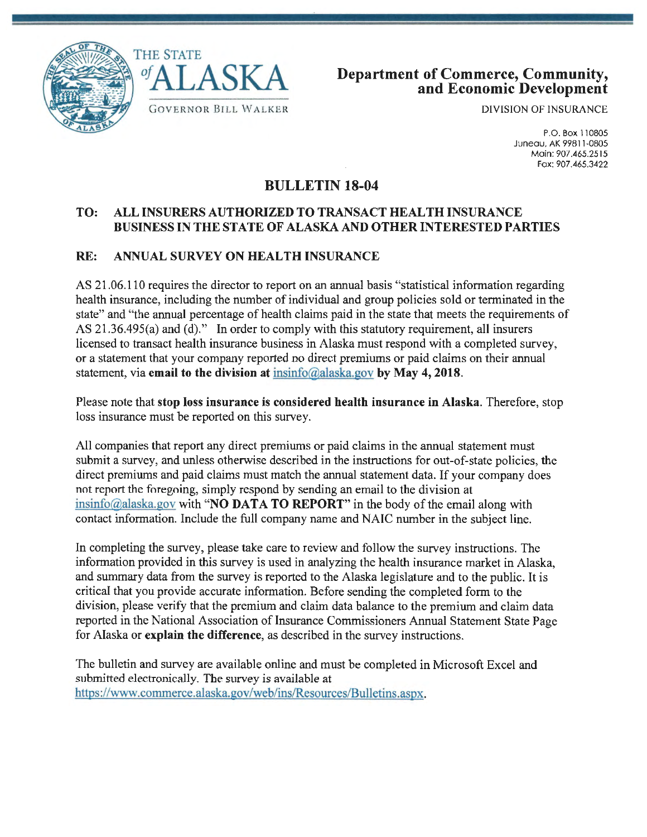



DIVISION OF INSURANCE

P.O.Box110805 Juneau, AK 99811-0805 Main: 907.465.2515 Fax: 907.465.3422

## **BULLETIN 18-04**

## **TO: ALL INSURERS AUTHORIZED TO TRANSACT HEALTH INSURANCE BUSINESS IN THE STATE OF ALASKA AND OTHER INTERESTED PARTIES**

## **RE: ANNUAL SURVEY ON HEALTH INSURANCE**

AS 21.06.110 requires the director to report on an annual basis "statistical information regarding health insurance, including the number of individual and group policies sold or terminated in the state" and "the annual percentage of health claims paid in the state that meets the requirements of AS 21.36.495(a) and (d)." In order to comply with this statutory requirement, all insurers licensed to transact health insurance business in Alaska must respond with a completed survey, or a statement that your company reported no direct premiums or paid claims on their annual statement, via **email to the division at** insinfo@alaska.gov **by May 4, 2018.** 

Please note that **stop loss insurance is considered health insurance in Alaska.** Therefore, stop loss insurance must be reported on this survey.

All companies that report any direct premiums or paid claims in the annual statement must submit a survey, and unless otherwise described in the instructions for out-of-state policies, the direct premiums and paid claims must match the annual statement data. If your company does not report the foregoing, simply respond by sending an email to the division at insinfo@alaska.gov with **"NO DATA TO REPORT"** in the body of the email along with contact information. Include the full company name and NAIC number in the subject line.

In completing the survey, please take care to review and follow the survey instructions. The information provided in this survey is used in analyzing the health insurance market in Alaska, and summary data from the survey is reported to the Alaska legislature and to the public. It is critical that you provide accurate information. Before sending the completed form to the division, please verify that the premium and claim data balance to the premium and claim data reported in the National Association of Insurance Commissioners Annual Statement State Page for Alaska or **explain the difference,** as described in the survey instructions.

The bulletin and survey are available online and must be completed in Microsoft Excel and submitted electronically. The survey is available at https://www.commerce.alaska.gov/web/ins/Resources/Bulletins.aspx.